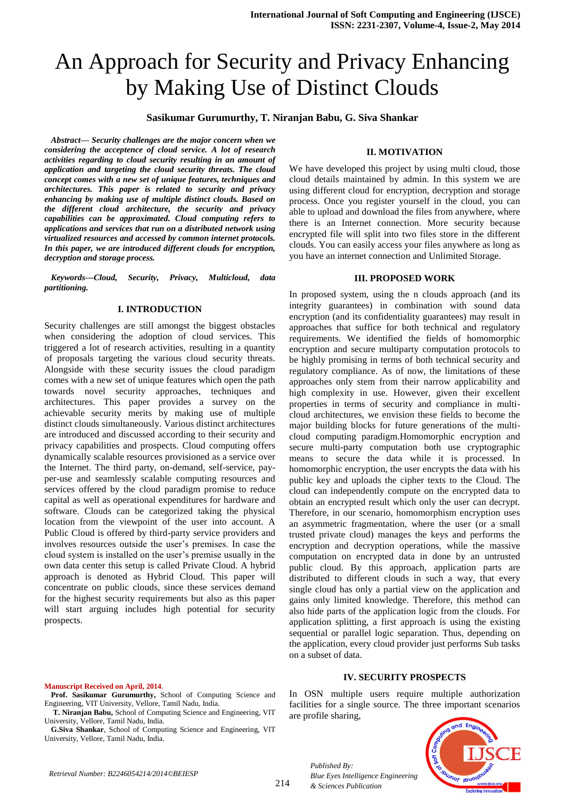# An Approach for Security and Privacy Enhancing by Making Use of Distinct Clouds

# **Sasikumar Gurumurthy, T. Niranjan Babu, G. Siva Shankar**

*Abstract— Security challenges are the major concern when we considering the acceptence of cloud service. A lot of research activities regarding to cloud security resulting in an amount of application and targeting the cloud security threats. The cloud concept comes with a new set of unique features, techniques and architectures. This paper is related to security and privacy enhancing by making use of multiple distinct clouds. Based on the different cloud architecture, the security and privacy capabilities can be approximated. Cloud computing refers to applications and services that run on a distributed network using virtualized resources and accessed by common internet protocols. In this paper, we are introduced different clouds for encryption, decryption and storage process.*

*Keywords---Cloud, Security, Privacy, Multicloud, data partitioning.*

#### **I. INTRODUCTION**

Security challenges are still amongst the biggest obstacles when considering the adoption of cloud services. This triggered a lot of research activities, resulting in a quantity of proposals targeting the various cloud security threats. Alongside with these security issues the cloud paradigm comes with a new set of unique features which open the path towards novel security approaches, techniques and architectures. This paper provides a survey on the achievable security merits by making use of multiple distinct clouds simultaneously. Various distinct architectures are introduced and discussed according to their security and privacy capabilities and prospects. Cloud computing offers dynamically scalable resources provisioned as a service over the Internet. The third party, on-demand, self-service, payper-use and seamlessly scalable computing resources and services offered by the cloud paradigm promise to reduce capital as well as operational expenditures for hardware and software. Clouds can be categorized taking the physical location from the viewpoint of the user into account. A Public Cloud is offered by third-party service providers and involves resources outside the user's premises. In case the cloud system is installed on the user's premise usually in the own data center this setup is called Private Cloud. A hybrid approach is denoted as Hybrid Cloud. This paper will concentrate on public clouds, since these services demand for the highest security requirements but also as this paper will start arguing includes high potential for security prospects.

We have developed this project by using multi cloud, those cloud details maintained by admin. In this system we are using different cloud for encryption, decryption and storage process. Once you register yourself in the cloud, you can able to upload and download the files from anywhere, where there is an Internet connection. More security because encrypted file will split into two files store in the different clouds. You can easily access your files anywhere as long as you have an internet connection and Unlimited Storage.

**II. MOTIVATION**

#### **III. PROPOSED WORK**

In proposed system, using the n clouds approach (and its integrity guarantees) in combination with sound data encryption (and its confidentiality guarantees) may result in approaches that suffice for both technical and regulatory requirements. We identified the fields of homomorphic encryption and secure multiparty computation protocols to be highly promising in terms of both technical security and regulatory compliance. As of now, the limitations of these approaches only stem from their narrow applicability and high complexity in use. However, given their excellent properties in terms of security and compliance in multicloud architectures, we envision these fields to become the major building blocks for future generations of the multicloud computing paradigm.Homomorphic encryption and secure multi-party computation both use cryptographic means to secure the data while it is processed. In homomorphic encryption, the user encrypts the data with his public key and uploads the cipher texts to the Cloud. The cloud can independently compute on the encrypted data to obtain an encrypted result which only the user can decrypt. Therefore, in our scenario, homomorphism encryption uses an asymmetric fragmentation, where the user (or a small trusted private cloud) manages the keys and performs the encryption and decryption operations, while the massive computation on encrypted data in done by an untrusted public cloud. By this approach, application parts are distributed to different clouds in such a way, that every single cloud has only a partial view on the application and gains only limited knowledge. Therefore, this method can also hide parts of the application logic from the clouds. For application splitting, a first approach is using the existing sequential or parallel logic separation. Thus, depending on the application, every cloud provider just performs Sub tasks on a subset of data.

## **IV. SECURITY PROSPECTS**

In OSN multiple users require multiple authorization facilities for a single source. The three important scenarios are profile sharing,



#### **Manuscript Received on April, 2014**.

- **Prof. Sasikumar Gurumurthy,** School of Computing Science and Engineering, VIT University, Vellore, Tamil Nadu, India.
- **T. Niranjan Babu,** School of Computing Science and Engineering, VIT University, Vellore, Tamil Nadu, India.

**G.Siva Shankar**, School of Computing Science and Engineering, VIT University, Vellore, Tamil Nadu, India.

*Published By:*

*& Sciences Publication* 

*Blue Eyes Intelligence Engineering*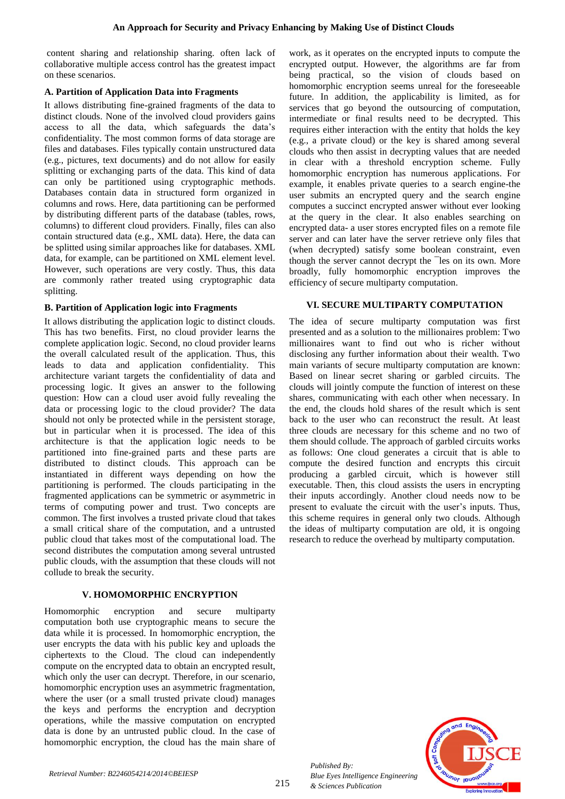content sharing and relationship sharing. often lack of collaborative multiple access control has the greatest impact on these scenarios.

# **A. Partition of Application Data into Fragments**

It allows distributing fine-grained fragments of the data to distinct clouds. None of the involved cloud providers gains access to all the data, which safeguards the data's confidentiality. The most common forms of data storage are files and databases. Files typically contain unstructured data (e.g., pictures, text documents) and do not allow for easily splitting or exchanging parts of the data. This kind of data can only be partitioned using cryptographic methods. Databases contain data in structured form organized in columns and rows. Here, data partitioning can be performed by distributing different parts of the database (tables, rows, columns) to different cloud providers. Finally, files can also contain structured data (e.g., XML data). Here, the data can be splitted using similar approaches like for databases. XML data, for example, can be partitioned on XML element level. However, such operations are very costly. Thus, this data are commonly rather treated using cryptographic data splitting.

# **B. Partition of Application logic into Fragments**

It allows distributing the application logic to distinct clouds. This has two benefits. First, no cloud provider learns the complete application logic. Second, no cloud provider learns the overall calculated result of the application. Thus, this leads to data and application confidentiality. This architecture variant targets the confidentiality of data and processing logic. It gives an answer to the following question: How can a cloud user avoid fully revealing the data or processing logic to the cloud provider? The data should not only be protected while in the persistent storage, but in particular when it is processed. The idea of this architecture is that the application logic needs to be partitioned into fine-grained parts and these parts are distributed to distinct clouds. This approach can be instantiated in different ways depending on how the partitioning is performed. The clouds participating in the fragmented applications can be symmetric or asymmetric in terms of computing power and trust. Two concepts are common. The first involves a trusted private cloud that takes a small critical share of the computation, and a untrusted public cloud that takes most of the computational load. The second distributes the computation among several untrusted public clouds, with the assumption that these clouds will not collude to break the security.

# **V. HOMOMORPHIC ENCRYPTION**

Homomorphic encryption and secure multiparty computation both use cryptographic means to secure the data while it is processed. In homomorphic encryption, the user encrypts the data with his public key and uploads the ciphertexts to the Cloud. The cloud can independently compute on the encrypted data to obtain an encrypted result, which only the user can decrypt. Therefore, in our scenario, homomorphic encryption uses an asymmetric fragmentation, where the user (or a small trusted private cloud) manages the keys and performs the encryption and decryption operations, while the massive computation on encrypted data is done by an untrusted public cloud. In the case of homomorphic encryption, the cloud has the main share of

work, as it operates on the encrypted inputs to compute the encrypted output. However, the algorithms are far from being practical, so the vision of clouds based on homomorphic encryption seems unreal for the foreseeable future. In addition, the applicability is limited, as for services that go beyond the outsourcing of computation, intermediate or final results need to be decrypted. This requires either interaction with the entity that holds the key (e.g., a private cloud) or the key is shared among several clouds who then assist in decrypting values that are needed in clear with a threshold encryption scheme. Fully homomorphic encryption has numerous applications. For example, it enables private queries to a search engine-the user submits an encrypted query and the search engine computes a succinct encrypted answer without ever looking at the query in the clear. It also enables searching on encrypted data- a user stores encrypted files on a remote file server and can later have the server retrieve only files that (when decrypted) satisfy some boolean constraint, even though the server cannot decrypt the ¯les on its own. More broadly, fully homomorphic encryption improves the efficiency of secure multiparty computation.

# **VI. SECURE MULTIPARTY COMPUTATION**

The idea of secure multiparty computation was first presented and as a solution to the millionaires problem: Two millionaires want to find out who is richer without disclosing any further information about their wealth. Two main variants of secure multiparty computation are known: Based on linear secret sharing or garbled circuits. The clouds will jointly compute the function of interest on these shares, communicating with each other when necessary. In the end, the clouds hold shares of the result which is sent back to the user who can reconstruct the result. At least three clouds are necessary for this scheme and no two of them should collude. The approach of garbled circuits works as follows: One cloud generates a circuit that is able to compute the desired function and encrypts this circuit producing a garbled circuit, which is however still executable. Then, this cloud assists the users in encrypting their inputs accordingly. Another cloud needs now to be present to evaluate the circuit with the user's inputs. Thus, this scheme requires in general only two clouds. Although the ideas of multiparty computation are old, it is ongoing research to reduce the overhead by multiparty computation.



215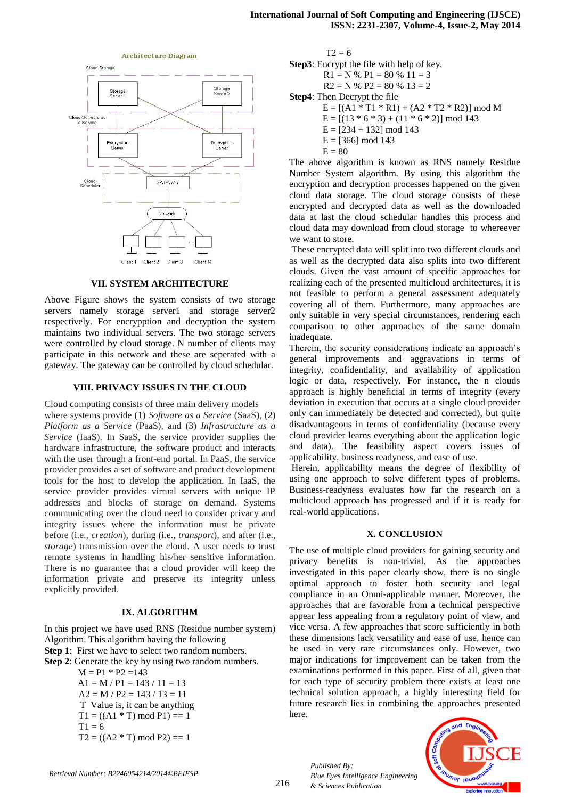#### **Architecture Diagram**



#### **VII. SYSTEM ARCHITECTURE**

Above Figure shows the system consists of two storage servers namely storage server1 and storage server2 respectively. For encrypption and decryption the system maintains two individual servers. The two storage servers were controlled by cloud storage. N number of clients may participate in this network and these are seperated with a gateway. The gateway can be controlled by cloud schedular.

#### **VIII. PRIVACY ISSUES IN THE CLOUD**

Cloud computing consists of three main delivery models where systems provide (1) *Software as a Service* (SaaS), (2) *Platform as a Service* (PaaS), and (3) *Infrastructure as a Service* (IaaS). In SaaS, the service provider supplies the hardware infrastructure, the software product and interacts with the user through a front-end portal. In PaaS, the service provider provides a set of software and product development tools for the host to develop the application. In IaaS, the service provider provides virtual servers with unique IP addresses and blocks of storage on demand. Systems communicating over the cloud need to consider privacy and integrity issues where the information must be private before (i.e., *creation*), during (i.e., *transport*), and after (i.e., *storage*) transmission over the cloud. A user needs to trust remote systems in handling his/her sensitive information. There is no guarantee that a cloud provider will keep the information private and preserve its integrity unless explicitly provided.

#### **IX. ALGORITHM**

In this project we have used RNS [\(Residue number system\)](http://en.wikipedia.org/wiki/Residue_number_system) Algorithm. This algorithm having the following

**Step 1:** First we have to select two random numbers.

**Step 2**: Generate the key by using two random numbers.  $M = P1 * P2 = 143$ 

 $A1 = M / P1 = 143 / 11 = 13$  $A2 = M / P2 = 143 / 13 = 11$  T Value is, it can be anything  $T1 = ((A1 * T) mod P1) == 1$  $T1 = 6$  $T2 = ((A2 * T) mod P2) == 1$ 

T2 = 6 **Step3**: Encrypt the file with help of key. R1 = N % P1 = 80 % 11 = 3 R2 = N % P2 = 80 % 13 = 2 **Step4**: Then Decrypt the file E = [(A1 \* T1 \* R1) + (A2 \* T2 \* R2)] mod M E = [(13 \* 6 \* 3) + (11 \* 6 \* 2)] mod 143 E = [234 + 132] mod 143 E = [366] mod 143 E = 80

The above algorithm is known as RNS namely Residue Number System algorithm. By using this algorithm the encryption and decryption processes happened on the given cloud data storage. The cloud storage consists of these encrypted and decrypted data as well as the downloaded data at last the cloud schedular handles this process and cloud data may download from cloud storage to whereever we want to store.

These encrypted data will split into two different clouds and as well as the decrypted data also splits into two different clouds. Given the vast amount of specific approaches for realizing each of the presented multicloud architectures, it is not feasible to perform a general assessment adequately covering all of them. Furthermore, many approaches are only suitable in very special circumstances, rendering each comparison to other approaches of the same domain inadequate.

Therein, the security considerations indicate an approach's general improvements and aggravations in terms of integrity, confidentiality, and availability of application logic or data, respectively. For instance, the n clouds approach is highly beneficial in terms of integrity (every deviation in execution that occurs at a single cloud provider only can immediately be detected and corrected), but quite disadvantageous in terms of confidentiality (because every cloud provider learns everything about the application logic and data). The feasibility aspect covers issues of applicability, business readyness, and ease of use.

Herein, applicability means the degree of flexibility of using one approach to solve different types of problems. Business-readyness evaluates how far the research on a multicloud approach has progressed and if it is ready for real-world applications.

# **X. CONCLUSION**

The use of multiple cloud providers for gaining security and privacy benefits is non-trivial. As the approaches investigated in this paper clearly show, there is no single optimal approach to foster both security and legal compliance in an Omni-applicable manner. Moreover, the approaches that are favorable from a technical perspective appear less appealing from a regulatory point of view, and vice versa. A few approaches that score sufficiently in both these dimensions lack versatility and ease of use, hence can be used in very rare circumstances only. However, two major indications for improvement can be taken from the examinations performed in this paper. First of all, given that for each type of security problem there exists at least one technical solution approach, a highly interesting field for future research lies in combining the approaches presented here.



216

*Published By:*

*& Sciences Publication* 

*Blue Eyes Intelligence Engineering*